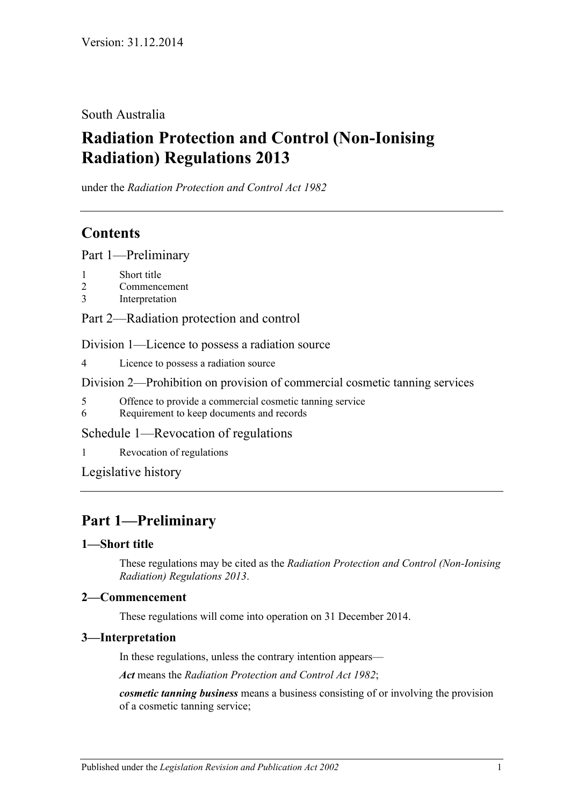## South Australia

# **Radiation Protection and Control (Non-Ionising Radiation) Regulations 2013**

under the *Radiation Protection and Control Act 1982*

# **Contents**

Part [1—Preliminary](#page-0-0)

- 1 [Short title](#page-0-1)
- 2 [Commencement](#page-0-2)
- 3 [Interpretation](#page-0-3)

Part [2—Radiation protection and control](#page-1-0)

Division [1—Licence to possess a radiation source](#page-1-1)

4 [Licence to possess a radiation source](#page-1-2)

Division [2—Prohibition on provision of commercial cosmetic tanning services](#page-1-3)

- 5 [Offence to provide a commercial cosmetic tanning service](#page-1-4)
- 6 [Requirement to keep documents and records](#page-1-5)

Schedule [1—Revocation of regulations](#page-2-0)

1 [Revocation of regulations](#page-2-1)

[Legislative history](#page-3-0)

# <span id="page-0-0"></span>**Part 1—Preliminary**

### <span id="page-0-1"></span>**1—Short title**

These regulations may be cited as the *Radiation Protection and Control (Non-Ionising Radiation) Regulations 2013*.

### <span id="page-0-2"></span>**2—Commencement**

These regulations will come into operation on 31 December 2014.

#### <span id="page-0-3"></span>**3—Interpretation**

In these regulations, unless the contrary intention appears—

*Act* means the *[Radiation Protection and Control Act](http://www.legislation.sa.gov.au/index.aspx?action=legref&type=act&legtitle=Radiation%20Protection%20and%20Control%20Act%201982) 1982*;

*cosmetic tanning business* means a business consisting of or involving the provision of a cosmetic tanning service;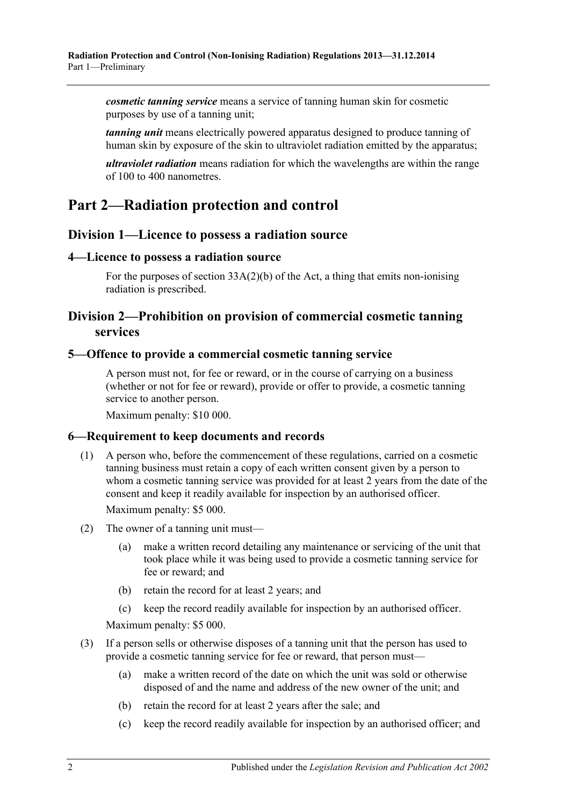*cosmetic tanning service* means a service of tanning human skin for cosmetic purposes by use of a tanning unit;

*tanning unit* means electrically powered apparatus designed to produce tanning of human skin by exposure of the skin to ultraviolet radiation emitted by the apparatus;

*ultraviolet radiation* means radiation for which the wavelengths are within the range of 100 to 400 nanometres.

# <span id="page-1-0"></span>**Part 2—Radiation protection and control**

### <span id="page-1-1"></span>**Division 1—Licence to possess a radiation source**

#### <span id="page-1-2"></span>**4—Licence to possess a radiation source**

For the purposes of section  $33A(2)(b)$  of the Act, a thing that emits non-ionising radiation is prescribed.

## <span id="page-1-3"></span>**Division 2—Prohibition on provision of commercial cosmetic tanning services**

#### <span id="page-1-4"></span>**5—Offence to provide a commercial cosmetic tanning service**

A person must not, for fee or reward, or in the course of carrying on a business (whether or not for fee or reward), provide or offer to provide, a cosmetic tanning service to another person.

Maximum penalty: \$10 000.

### <span id="page-1-5"></span>**6—Requirement to keep documents and records**

(1) A person who, before the commencement of these regulations, carried on a cosmetic tanning business must retain a copy of each written consent given by a person to whom a cosmetic tanning service was provided for at least 2 years from the date of the consent and keep it readily available for inspection by an authorised officer.

Maximum penalty: \$5 000.

- (2) The owner of a tanning unit must—
	- (a) make a written record detailing any maintenance or servicing of the unit that took place while it was being used to provide a cosmetic tanning service for fee or reward; and
	- (b) retain the record for at least 2 years; and
	- (c) keep the record readily available for inspection by an authorised officer.

Maximum penalty: \$5 000.

- (3) If a person sells or otherwise disposes of a tanning unit that the person has used to provide a cosmetic tanning service for fee or reward, that person must—
	- (a) make a written record of the date on which the unit was sold or otherwise disposed of and the name and address of the new owner of the unit; and
	- (b) retain the record for at least 2 years after the sale; and
	- (c) keep the record readily available for inspection by an authorised officer; and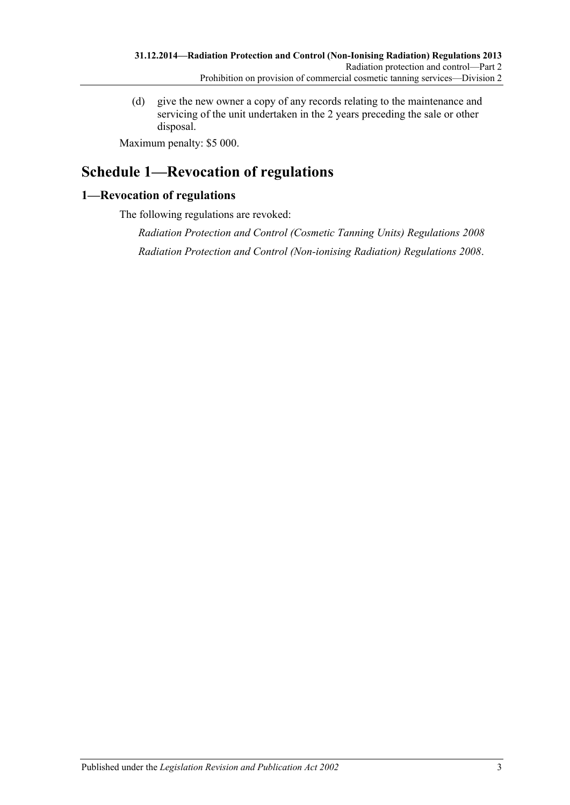(d) give the new owner a copy of any records relating to the maintenance and servicing of the unit undertaken in the 2 years preceding the sale or other disposal.

Maximum penalty: \$5 000.

# <span id="page-2-0"></span>**Schedule 1—Revocation of regulations**

### <span id="page-2-1"></span>**1—Revocation of regulations**

The following regulations are revoked:

*[Radiation Protection and Control \(Cosmetic Tanning Units\) Regulations](http://www.legislation.sa.gov.au/index.aspx?action=legref&type=subordleg&legtitle=Radiation%20Protection%20and%20Control%20(Cosmetic%20Tanning%20Units)%20Regulations%202008) 2008 [Radiation Protection and Control \(Non-ionising Radiation\) Regulations](http://www.legislation.sa.gov.au/index.aspx?action=legref&type=subordleg&legtitle=Radiation%20Protection%20and%20Control%20(Non-ionising%20Radiation)%20Regulations%202008) 2008*.